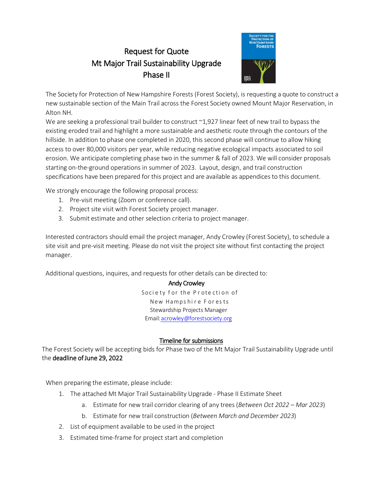# **Request for Quote** Mt Major Trail Sustainability Upgrade Phase II



The Society for Protection of New Hampshire Forests (Forest Society), is requesting a quote to construct a new sustainable section of the Main Trail across the Forest Society owned Mount Major Reservation, in Alton NH.

We are seeking a professional trail builder to construct  $\sim$  1,927 linear feet of new trail to bypass the existing eroded trail and highlight a more sustainable and aesthetic route through the contours of the hillside. In addition to phase one completed in 2020, this second phase will continue to allow hiking access to over 80,000 visitors per year, while reducing negative ecological impacts associated to soil erosion. We anticipate completing phase two in the summer & fall of 2023. We will consider proposals starting on-the-ground operations in summer of 2023. Layout, design, and trail construction specifications have been prepared for this project and are available as appendices to this document.

We strongly encourage the following proposal process:

- 1. Pre-visit meeting (Zoom or conference call).
- 2. Project site visit with Forest Society project manager.
- 3. Submit estimate and other selection criteria to project manager.

Interested contractors should email the project manager, Andy Crowley (Forest Society), to schedule a site visit and pre-visit meeting. Please do not visit the project site without first contacting the project manager.

Additional questions, inquires, and requests for other details can be directed to:

# **Andy Crowley**

Society for the Protection of New Hampshire Forests Stewardship Projects Manager Email: acrowley@forestsociety.org

# Timeline for submissions

The Forest Society will be accepting bids for Phase two of the Mt Major Trail Sustainability Upgrade until the deadline of June 29, 2022

When preparing the estimate, please include:

- 1. The attached Mt Major Trail Sustainability Upgrade Phase II Estimate Sheet
	- a. Estimate for new trail corridor clearing of any trees (Between Oct 2022 Mar 2023)
	- b. Estimate for new trail construction (Between March and December 2023)
- 2. List of equipment available to be used in the project
- 3. Estimated time-frame for project start and completion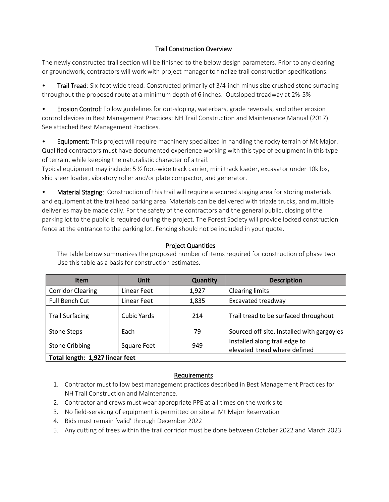# **Trail Construction Overview**

The newly constructed trail section will be finished to the below design parameters. Prior to any clearing or groundwork, contractors will work with project manager to finalize trail construction specifications.

Trail Tread: Six-foot wide tread. Constructed primarily of 3/4-inch minus size crushed stone surfacing  $\bullet$ throughout the proposed route at a minimum depth of 6 inches. Outsloped treadway at 2%-5%

Erosion Control: Follow guidelines for out-sloping, waterbars, grade reversals, and other erosion control devices in Best Management Practices: NH Trail Construction and Maintenance Manual (2017). See attached Best Management Practices.

Equipment: This project will require machinery specialized in handling the rocky terrain of Mt Major.  $\bullet$ Qualified contractors must have documented experience working with this type of equipment in this type of terrain, while keeping the naturalistic character of a trail.

Typical equipment may include: 5 % foot-wide track carrier, mini track loader, excavator under 10k lbs, skid steer loader, vibratory roller and/or plate compactor, and generator.

 $\bullet$ Material Staging: Construction of this trail will require a secured staging area for storing materials and equipment at the trailhead parking area. Materials can be delivered with triaxle trucks, and multiple deliveries may be made daily. For the safety of the contractors and the general public, closing of the parking lot to the public is required during the project. The Forest Society will provide locked construction fence at the entrance to the parking lot. Fencing should not be included in your quote.

# **Project Quantities**

| <b>Item</b>                     | <b>Unit</b>        | <b>Quantity</b> | <b>Description</b>                                            |
|---------------------------------|--------------------|-----------------|---------------------------------------------------------------|
| <b>Corridor Clearing</b>        | Linear Feet        | 1,927           | <b>Clearing limits</b>                                        |
| Full Bench Cut                  | Linear Feet        | 1,835           | Excavated treadway                                            |
| <b>Trail Surfacing</b>          | <b>Cubic Yards</b> | 214             | Trail tread to be surfaced throughout                         |
| <b>Stone Steps</b>              | Each               | 79              | Sourced off-site. Installed with gargoyles                    |
| <b>Stone Cribbing</b>           | <b>Square Feet</b> | 949             | Installed along trail edge to<br>elevated tread where defined |
| Total length: 1,927 linear feet |                    |                 |                                                               |

The table below summarizes the proposed number of items required for construction of phase two. Use this table as a basis for construction estimates.

# Requirements

- 1. Contractor must follow best management practices described in Best Management Practices for NH Trail Construction and Maintenance.
- 2. Contractor and crews must wear appropriate PPE at all times on the work site
- 3. No field-servicing of equipment is permitted on site at Mt Major Reservation
- 4. Bids must remain 'valid' through December 2022
- 5. Any cutting of trees within the trail corridor must be done between October 2022 and March 2023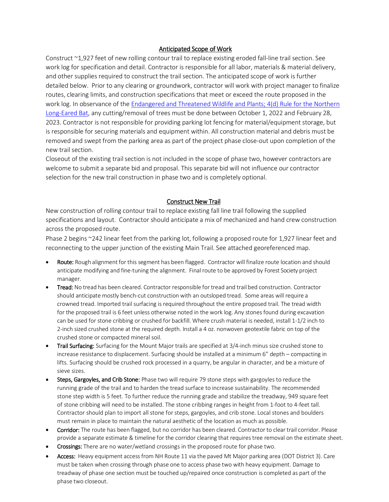#### Anticipated Scope of Work

Construct ~1,927 feet of new rolling contour trail to replace existing eroded fall-line trail section. See work log for specification and detail. Contractor is responsible for all labor, materials & material delivery, and other supplies required to construct the trail section. The anticipated scope of work is further detailed below. Prior to any clearing or groundwork, contractor will work with project manager to finalize routes, clearing limits, and construction specifications that meet or exceed the route proposed in the work log. In observance of the Endangered and Threatened Wildlife and Plants; 4(d) Rule for the Northern Long-Eared Bat, any cutting/removal of trees must be done between October 1, 2022 and February 28, 2023. Contractor is not responsible for providing parking lot fencing for material/equipment storage, but is responsible for securing materials and equipment within. All construction material and debris must be removed and swept from the parking area as part of the project phase close-out upon completion of the new trail section.

Closeout of the existing trail section is not included in the scope of phase two, however contractors are welcome to submit a separate bid and proposal. This separate bid will not influence our contractor selection for the new trail construction in phase two and is completely optional.

#### **Construct New Trail**

New construction of rolling contour trail to replace existing fall line trail following the supplied specifications and layout. Contractor should anticipate a mix of mechanized and hand crew construction across the proposed route.

Phase 2 begins ~242 linear feet from the parking lot, following a proposed route for 1,927 linear feet and reconnecting to the upper junction of the existing Main Trail. See attached georeferenced map.

- Route: Rough alignment for this segment has been flagged. Contractor will finalize route location and should anticipate modifying and fine-tuning the alignment. Final route to be approved by Forest Society project manager.
- Tread: No tread has been cleared. Contractor responsible for tread and trail bed construction. Contractor should anticipate mostly bench-cut construction with an outsloped tread. Some areas will require a crowned tread. Imported trail surfacing is required throughout the entire proposed trail. The tread width for the proposed trail is 6 feet unless otherwise noted in the work log. Any stones found during excavation can be used for stone cribbing or crushed for backfill. Where crush material is needed, install 1-1/2 inch to 2-inch sized crushed stone at the required depth. Install a 4 oz. nonwoven geotextile fabric on top of the crushed stone or compacted mineral soil.
- Trail Surfacing: Surfacing for the Mount Major trails are specified at 3/4-inch minus size crushed stone to increase resistance to displacement. Surfacing should be installed at a minimum 6" depth - compacting in lifts. Surfacing should be crushed rock processed in a quarry, be angular in character, and be a mixture of sieve sizes.
- Steps, Gargoyles, and Crib Stone: Phase two will require 79 stone steps with gargoyles to reduce the running grade of the trail and to harden the tread surface to increase sustainability. The recommended stone step width is 5 feet. To further reduce the running grade and stabilize the treadway, 949 square feet of stone cribbing will need to be installed. The stone cribbing ranges in height from 1-foot to 4-feet tall. Contractor should plan to import all stone for steps, gargoyles, and crib stone. Local stones and boulders must remain in place to maintain the natural aesthetic of the location as much as possible.
- Corridor: The route has been flagged, but no corridor has been cleared. Contractor to clear trail corridor. Please provide a separate estimate & timeline for the corridor clearing that requires tree removal on the estimate sheet.
- Crossings: There are no water/wetland crossings in the proposed route for phase two.
- Access: Heavy equipment access from NH Route 11 via the paved Mt Major parking area (DOT District 3). Care must be taken when crossing through phase one to access phase two with heavy equipment. Damage to treadway of phase one section must be touched up/repaired once construction is completed as part of the phase two closeout.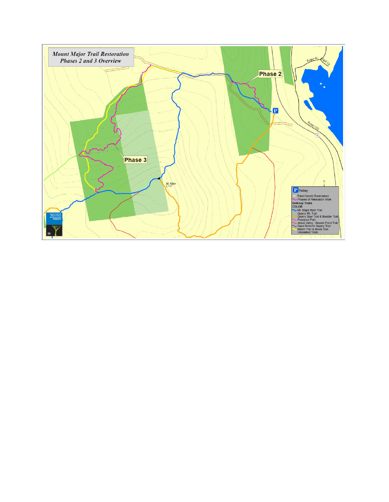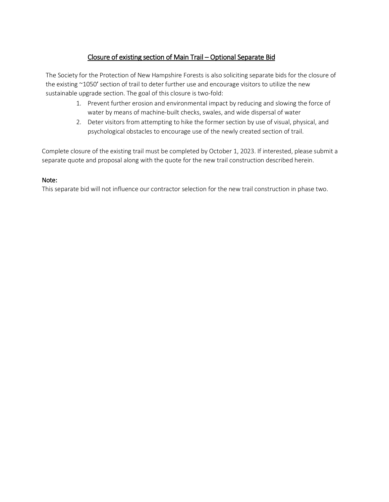# Closure of existing section of Main Trail - Optional Separate Bid

The Society for the Protection of New Hampshire Forests is also soliciting separate bids for the closure of the existing ~1050' section of trail to deter further use and encourage visitors to utilize the new sustainable upgrade section. The goal of this closure is two-fold:

- 1. Prevent further erosion and environmental impact by reducing and slowing the force of water by means of machine-built checks, swales, and wide dispersal of water
- 2. Deter visitors from attempting to hike the former section by use of visual, physical, and psychological obstacles to encourage use of the newly created section of trail.

Complete closure of the existing trail must be completed by October 1, 2023. If interested, please submit a separate quote and proposal along with the quote for the new trail construction described herein.

#### Note:

This separate bid will not influence our contractor selection for the new trail construction in phase two.